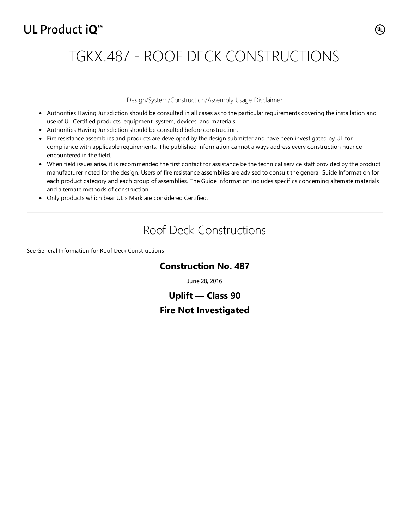## UL Product iQ<sup>™</sup>

# TGKX.487 - ROOF DECK CONSTRUCTIONS

#### Design/System/Construction/Assembly Usage Disclaimer

- Authorities Having Jurisdiction should be consulted in all cases as to the particular requirements covering the installation and use of UL Certified products, equipment, system, devices, and materials.
- Authorities Having Jurisdiction should be consulted before construction.
- Fire resistance assemblies and products are developed by the design submitter and have been investigated by UL for compliance with applicable requirements. The published information cannot always address every construction nuance encountered in the field.
- When field issues arise, it is recommended the first contact for assistance be the technical service staff provided by the product manufacturer noted for the design. Users of fire resistance assemblies are advised to consult the general Guide Information for each product category and each group of assemblies. The Guide Information includes specifics concerning alternate materials and alternate methods of construction.
- Only products which bear UL's Mark are considered Certified.

## Roof Deck Constructions

See General Information for Roof Deck [Constructions](https://iq.ulprospector.com/cgi-bin/XYV/template/LISEXT/1FRAME/showpage.html?&name=TGKX.GuideInfo&ccnshorttitle=Roof+Deck+Constructions&objid=1074352641&cfgid=1073741824&version=versionless&parent_id=1073993611&sequence=1)

#### **Construction No. 487**

June 28, 2016

### **Uplift — Class 90 Fire Not Investigated**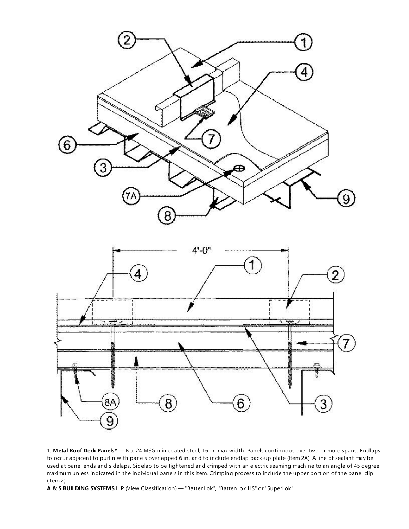



1. **Metal Roof Deck Panels\* —** No. 24 MSG min coated steel, 16 in. max width. Panels continuous over two or more spans. Endlaps to occur adjacent to purlin with panels overlapped 6 in. and to include endlap back-up plate (Item 2A). A line of sealant may be used at panel ends and sidelaps. Sidelap to be tightened and crimped with an electric seaming machine to an angle of 45 degree maximum unless indicated in the individual panels in this item. Crimping process to include the upper portion of the panel clip (Item 2).

**A & S BUILDING SYSTEMS L P** (View [Classification\)](http://database.ul.com/cgi-bin/XYV/cgifind/LISEXT/1FRAME/srchres.html?collection=/data3/verity_collections/lisext&vdkhome=/data3/verity_sw_rev24/common&SORT_BY=textlines:asc,ccnshorttitle:asc&query=650404001+%3CIN%3ESubscrbr_ID+and+TJPV*+%3CIN%3ECCN) — "BattenLok", "BattenLok HS" or "SuperLok"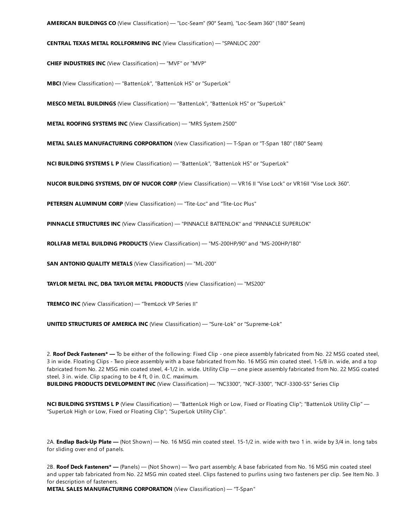**AMERICAN BUILDINGS CO** (View [Classification\)](http://database.ul.com/cgi-bin/XYV/cgifind/LISEXT/1FRAME/srchres.html?collection=/data3/verity_collections/lisext&vdkhome=/data3/verity_sw_rev24/common&SORT_BY=textlines:asc,ccnshorttitle:asc&query=189626001+%3CIN%3ESubscrbr_ID+and+TJPV*+%3CIN%3ECCN) — "Loc-Seam" (90° Seam), "Loc-Seam 360" (180° Seam)

**CENTRAL TEXAS METAL ROLLFORMING INC** (View [Classification\)](http://database.ul.com/cgi-bin/XYV/cgifind/LISEXT/1FRAME/srchres.html?collection=/data3/verity_collections/lisext&vdkhome=/data3/verity_sw_rev24/common&SORT_BY=textlines:asc,ccnshorttitle:asc&query=960510002+%3CIN%3ESubscrbr_ID+and+TJPV*+%3CIN%3ECCN) — "SPANLOC 200"

**CHIEF INDUSTRIES INC** (View [Classification\)](http://database.ul.com/cgi-bin/XYV/cgifind/LISEXT/1FRAME/srchres.html?collection=/data3/verity_collections/lisext&vdkhome=/data3/verity_sw_rev24/common&SORT_BY=textlines:asc,ccnshorttitle:asc&query=266906001+%3CIN%3ESubscrbr_ID+and+TJPV*+%3CIN%3ECCN) — "MVF" or "MVP"

**MBCI** (View [Classification\)](http://database.ul.com/cgi-bin/XYV/cgifind/LISEXT/1FRAME/srchres.html?collection=/data3/verity_collections/lisext&vdkhome=/data3/verity_sw_rev24/common&SORT_BY=textlines:asc,ccnshorttitle:asc&query=139289001+%3CIN%3ESubscrbr_ID+and+TJPV*+%3CIN%3ECCN) — "BattenLok", "BattenLok HS" or "SuperLok"

**MESCO METAL BUILDINGS** (View [Classification\)](http://database.ul.com/cgi-bin/XYV/cgifind/LISEXT/1FRAME/srchres.html?collection=/data3/verity_collections/lisext&vdkhome=/data3/verity_sw_rev24/common&SORT_BY=textlines:asc,ccnshorttitle:asc&query=518549001+%3CIN%3ESubscrbr_ID+and+TJPV*+%3CIN%3ECCN) — "BattenLok", "BattenLok HS" or "SuperLok"

**METAL ROOFING SYSTEMS INC** (View [Classification\)](http://database.ul.com/cgi-bin/XYV/cgifind/LISEXT/1FRAME/srchres.html?collection=/data3/verity_collections/lisext&vdkhome=/data3/verity_sw_rev24/common&SORT_BY=textlines:asc,ccnshorttitle:asc&query=589187001+%3CIN%3ESubscrbr_ID+and+TJPV*+%3CIN%3ECCN) — "MRS System 2500"

**METAL SALES MANUFACTURING CORPORATION** (View [Classification\)](http://database.ul.com/cgi-bin/XYV/cgifind/LISEXT/1FRAME/srchres.html?collection=/data3/verity_collections/lisext&vdkhome=/data3/verity_sw_rev24/common&SORT_BY=textlines:asc,ccnshorttitle:asc&query=997005001+%3CIN%3ESubscrbr_ID+and+TJPV*+%3CIN%3ECCN) — T-Span or "T-Span 180" (180° Seam)

**NCI BUILDING SYSTEMS L P** (View [Classification\)](http://database.ul.com/cgi-bin/XYV/cgifind/LISEXT/1FRAME/srchres.html?collection=/data3/verity_collections/lisext&vdkhome=/data3/verity_sw_rev24/common&SORT_BY=textlines:asc,ccnshorttitle:asc&query=901683001+%3CIN%3ESubscrbr_ID+and+TJPV*+%3CIN%3ECCN) — "BattenLok", "BattenLok HS" or "SuperLok"

**NUCOR BUILDING SYSTEMS, DIV OF NUCOR CORP** (View [Classification\)](http://database.ul.com/cgi-bin/XYV/cgifind/LISEXT/1FRAME/srchres.html?collection=/data3/verity_collections/lisext&vdkhome=/data3/verity_sw_rev24/common&SORT_BY=textlines:asc,ccnshorttitle:asc&query=385127001+%3CIN%3ESubscrbr_ID+and+TJPV*+%3CIN%3ECCN) — VR16 II "Vise Lock" or VR16II "Vise Lock 360".

**PETERSEN ALUMINUM CORP** (View [Classification\)](http://database.ul.com/cgi-bin/XYV/cgifind/LISEXT/1FRAME/srchres.html?collection=/data3/verity_collections/lisext&vdkhome=/data3/verity_sw_rev24/common&SORT_BY=textlines:asc,ccnshorttitle:asc&query=652342001+%3CIN%3ESubscrbr_ID+and+TJPV*+%3CIN%3ECCN) — "Tite-Loc" and "Tite-Loc Plus"

**PINNACLE STRUCTURES INC** (View [Classification\)](http://database.ul.com/cgi-bin/XYV/cgifind/LISEXT/1FRAME/srchres.html?collection=/data3/verity_collections/lisext&vdkhome=/data3/verity_sw_rev24/common&SORT_BY=textlines:asc,ccnshorttitle:asc&query=100411252+%3CIN%3ESubscrbr_ID+and+TJPV*+%3CIN%3ECCN) — "PINNACLE BATTENLOK" and "PINNACLE SUPERLOK"

**ROLLFAB METAL BUILDING PRODUCTS** (View [Classification\)](http://database.ul.com/cgi-bin/XYV/cgifind/LISEXT/1FRAME/srchres.html?collection=/data3/verity_collections/lisext&vdkhome=/data3/verity_sw_rev24/common&SORT_BY=textlines:asc,ccnshorttitle:asc&query=100512980+%3CIN%3ESubscrbr_ID+and+TJPV*+%3CIN%3ECCN) — "MS-200HP/90" and "MS-200HP/180"

**SAN ANTONIO QUALITY METALS** (View [Classification\)](http://database.ul.com/cgi-bin/XYV/cgifind/LISEXT/1FRAME/srchres.html?collection=/data3/verity_collections/lisext&vdkhome=/data3/verity_sw_rev24/common&SORT_BY=textlines:asc,ccnshorttitle:asc&query=100560333+%3CIN%3ESubscrbr_ID+and+TJPV*+%3CIN%3ECCN) — "ML-200"

**TAYLOR METAL INC, DBA TAYLOR METAL PRODUCTS** (View [Classification\)](http://database.ul.com/cgi-bin/XYV/cgifind/LISEXT/1FRAME/srchres.html?collection=/data3/verity_collections/lisext&vdkhome=/data3/verity_sw_rev24/common&SORT_BY=textlines:asc,ccnshorttitle:asc&query=664740001+%3CIN%3ESubscrbr_ID+and+TJPV*+%3CIN%3ECCN) — "MS200"

**TREMCO INC** (View [Classification\)](http://database.ul.com/cgi-bin/XYV/cgifind/LISEXT/1FRAME/srchres.html?collection=/data3/verity_collections/lisext&vdkhome=/data3/verity_sw_rev24/common&SORT_BY=textlines:asc,ccnshorttitle:asc&query=718947007+%3CIN%3ESubscrbr_ID+and+TJPV*+%3CIN%3ECCN) — "TremLock VP Series II"

**UNITED STRUCTURES OF AMERICA INC** (View [Classification\)](http://database.ul.com/cgi-bin/XYV/cgifind/LISEXT/1FRAME/srchres.html?collection=/data3/verity_collections/lisext&vdkhome=/data3/verity_sw_rev24/common&SORT_BY=textlines:asc,ccnshorttitle:asc&query=771112001+%3CIN%3ESubscrbr_ID+and+TJPV*+%3CIN%3ECCN) — "Sure-Lok" or "Supreme-Lok"

2. **Roof Deck Fasteners\* —** To be either of the following: Fixed Clip - one piece assembly fabricated from No. 22 MSG coated steel, 3 in wide. Floating Clips - Two piece assembly with a base fabricated from No. 16 MSG min coated steel, 1-5/8 in. wide, and a top fabricated from No. 22 MSG min coated steel, 4-1/2 in. wide. Utility Clip — one piece assembly fabricated from No. 22 MSG coated steel, 3 in. wide. Clip spacing to be 4 ft, 0 in. 0.C. maximum.

**BUILDING PRODUCTS DEVELOPMENT INC** (View [Classification\)](http://database.ul.com/cgi-bin/XYV/cgifind/LISEXT/1FRAME/srchres.html?collection=/data3/verity_collections/lisext&vdkhome=/data3/verity_sw_rev24/common&SORT_BY=textlines:asc,ccnshorttitle:asc&query=100028941+%3CIN%3ESubscrbr_ID+and+TLSX*+%3CIN%3ECCN) — "NC3300", "NCF-3300", "NCF-3300-SS" Series Clip

**NCI BUILDING SYSTEMS L P** (View [Classification\)](http://database.ul.com/cgi-bin/XYV/cgifind/LISEXT/1FRAME/srchres.html?collection=/data3/verity_collections/lisext&vdkhome=/data3/verity_sw_rev24/common&SORT_BY=textlines:asc,ccnshorttitle:asc&query=901683001+%3CIN%3ESubscrbr_ID+and+TLSX*+%3CIN%3ECCN) — "BattenLok High or Low, Fixed or Floating Clip"; "BattenLok Utility Clip" — "SuperLok High or Low, Fixed or Floating Clip"; "SuperLok Utility Clip".

2A. **Endlap Back-Up Plate —** (Not Shown) — No. 16 MSG min coated steel. 15-1/2 in. wide with two 1 in. wide by 3/4 in. long tabs for sliding over end of panels.

2B. **Roof Deck Fasteners\* —** (Panels) — (Not Shown) — Two part assembly; A base fabricated from No. 16 MSG min coated steel and upper tab fabricated from No. 22 MSG min coated steel. Clips fastened to purlins using two fasteners per clip. See Item No. 3 for description of fasteners.

**METAL SALES MANUFACTURING CORPORATION** (View [Classification\)](http://database.ul.com/cgi-bin/XYV/cgifind/LISEXT/1FRAME/srchres.html?collection=/data3/verity_collections/lisext&vdkhome=/data3/verity_sw_rev24/common&SORT_BY=textlines:asc,ccnshorttitle:asc&query=997005001+%3CIN%3ESubscrbr_ID+and+TLSX*+%3CIN%3ECCN) — "T-Span"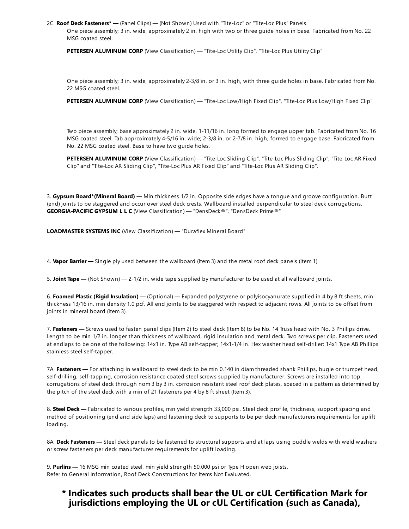2C. **Roof Deck Fasteners\* —** (Panel Clips) — (Not Shown) Used with "Tite-Loc" or "Tite-Loc Plus" Panels.

One piece assembly; 3 in. wide, approximately 2 in. high with two or three guide holes in base. Fabricated from No. 22 MSG coated steel.

**PETERSEN ALUMINUM CORP** (View [Classification\)](http://database.ul.com/cgi-bin/XYV/cgifind/LISEXT/1FRAME/srchres.html?collection=/data3/verity_collections/lisext&vdkhome=/data3/verity_sw_rev24/common&SORT_BY=textlines:asc,ccnshorttitle:asc&query=652342001+%3CIN%3ESubscrbr_ID+and+TLSX*+%3CIN%3ECCN) — "Tite-Loc Utility Clip", "Tite-Loc Plus Utility Clip"

One piece assembly; 3 in. wide, approximately 2-3/8 in. or 3 in. high, with three guide holes in base. Fabricated from No. 22 MSG coated steel.

**PETERSEN ALUMINUM CORP** (View [Classification\)](http://database.ul.com/cgi-bin/XYV/cgifind/LISEXT/1FRAME/srchres.html?collection=/data3/verity_collections/lisext&vdkhome=/data3/verity_sw_rev24/common&SORT_BY=textlines:asc,ccnshorttitle:asc&query=652342001+%3CIN%3ESubscrbr_ID+and+TLSX*+%3CIN%3ECCN) — "Tite-Loc Low/High Fixed Clip", "Tite-Loc Plus Low/High Fixed Clip"

Two piece assembly; base approximately 2 in. wide, 1-11/16 in. long formed to engage upper tab. Fabricated from No. 16 MSG coated steel. Tab approximately 4-5/16 in. wide; 2-3/8 in. or 2-7/8 in. high, formed to engage base. Fabricated from No. 22 MSG coated steel. Base to have two guide holes.

**PETERSEN ALUMINUM CORP** (View [Classification\)](http://database.ul.com/cgi-bin/XYV/cgifind/LISEXT/1FRAME/srchres.html?collection=/data3/verity_collections/lisext&vdkhome=/data3/verity_sw_rev24/common&SORT_BY=textlines:asc,ccnshorttitle:asc&query=652342001+%3CIN%3ESubscrbr_ID+and+TLSX*+%3CIN%3ECCN) — "Tite-Loc Sliding Clip", "Tite-Loc Plus Sliding Clip", "Tite-Loc AR Fixed Clip" and "Tite-Loc AR Sliding Clip", "Tite-Loc Plus AR Fixed Clip" and "Tite-Loc Plus AR Sliding Clip".

3. **Gypsum Board\*(Mineral Board) —** Min thickness 1/2 in. Opposite side edges have a tongue and groove configuration. Butt (end) joints to be staggered and occur over steel deck crests. Wallboard installed perpendicular to steel deck corrugations. **GEORGIA-PACIFIC GYPSUM L L C** (View [Classification\)](http://database.ul.com/cgi-bin/XYV/cgifind/LISEXT/1FRAME/srchres.html?collection=/data3/verity_collections/lisext&vdkhome=/data3/verity_sw_rev24/common&SORT_BY=textlines:asc,ccnshorttitle:asc&query=299592001+%3CIN%3ESubscrbr_ID+and+TIAR*+%3CIN%3ECCN) — "DensDeck®", "DensDeck Prime®"

**LOADMASTER SYSTEMS INC** (View [Classification\)](http://database.ul.com/cgi-bin/XYV/cgifind/LISEXT/1FRAME/srchres.html?collection=/data3/verity_collections/lisext&vdkhome=/data3/verity_sw_rev24/common&SORT_BY=textlines:asc,ccnshorttitle:asc&query=226521001+%3CIN%3ESubscrbr_ID+and+TNQY*+%3CIN%3ECCN) — "Duraflex Mineral Board"

4. **Vapor Barrier —** Single ply used between the wallboard (Item 3) and the metal roof deck panels (Item 1).

5. **Joint Tape —** (Not Shown) — 2-1/2 in. wide tape supplied by manufacturer to be used at all wallboard joints.

6. **Foamed Plastic (Rigid Insulation) —** (Optional) — Expanded polystyrene or polyisocyanurate supplied in 4 by 8 ft sheets, min thickness 13/16 in. min density 1.0 pcf. All end joints to be staggered with respect to adjacent rows. All joints to be offset from joints in mineral board (Item 3).

7. **Fasteners —** Screws used to fasten panel clips (Item 2) to steel deck (Item 8) to be No. 14 Truss head with No. 3 Phillips drive. Length to be min 1/2 in. longer than thickness of wallboard, rigid insulation and metal deck. Two screws per clip. Fasteners used at endlaps to be one of the following: 14x1 in. Type AB self-tapper; 14x1-1/4 in. Hex washer head self-driller; 14x1 Type AB Phillips stainless steel self-tapper.

7A. **Fasteners —** For attaching in wallboard to steel deck to be min 0.140 in diam threaded shank Phillips, bugle or trumpet head, self-drilling, self-tapping, corrosion resistance coated steel screws supplied by manufacturer. Screws are installed into top corrugations of steel deck through nom 3 by 3 in. corrosion resistant steel roof deck plates, spaced in a pattern as determined by the pitch of the steel deck with a min of 21 fasteners per 4 by 8 ft sheet (Item 3).

8. **Steel Deck —** Fabricated to various profiles, min yield strength 33,000 psi. Steel deck profile, thickness, support spacing and method of positioning (end and side laps) and fastening deck to supports to be per deck manufacturers requirements for uplift loading.

8A. **Deck Fasteners —** Steel deck panels to be fastened to structural supports and at laps using puddle welds with weld washers or screw fasteners per deck manufactures requirements for uplift loading.

9. **Purlins —** 16 MSG min coated steel, min yield strength 50,000 psi or Type H open web joists. Refer to General Information, Roof Deck Constructions for Items Not Evaluated.

#### **\* Indicates such products shall bear the UL or cUL Certification Mark for jurisdictions employing the UL or cUL Certification (such as Canada),**